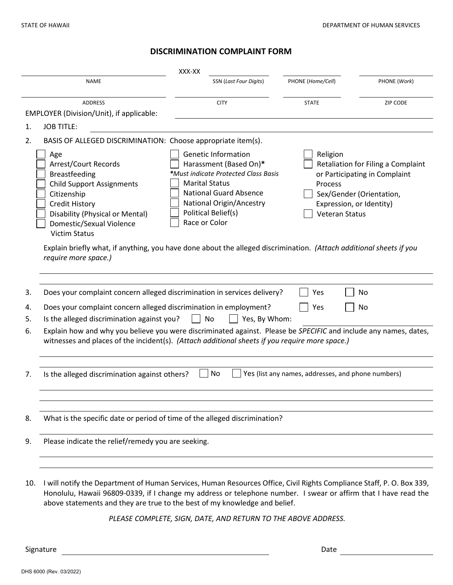## **DISCRIMINATION COMPLAINT FORM**

| XXX-XX                                                                                                                                      |                                                                                                                                                                                                                                                                                                                                                                                                                                                                                                                                                                                                                                     |                               |                   |              |
|---------------------------------------------------------------------------------------------------------------------------------------------|-------------------------------------------------------------------------------------------------------------------------------------------------------------------------------------------------------------------------------------------------------------------------------------------------------------------------------------------------------------------------------------------------------------------------------------------------------------------------------------------------------------------------------------------------------------------------------------------------------------------------------------|-------------------------------|-------------------|--------------|
|                                                                                                                                             | <b>NAME</b>                                                                                                                                                                                                                                                                                                                                                                                                                                                                                                                                                                                                                         | <b>SSN</b> (Last Four Digits) | PHONE (Home/Cell) | PHONE (Work) |
| <b>ADDRESS</b><br>EMPLOYER (Division/Unit), if applicable:                                                                                  |                                                                                                                                                                                                                                                                                                                                                                                                                                                                                                                                                                                                                                     | <b>CITY</b>                   | <b>STATE</b>      | ZIP CODE     |
| 1.                                                                                                                                          | <b>JOB TITLE:</b>                                                                                                                                                                                                                                                                                                                                                                                                                                                                                                                                                                                                                   |                               |                   |              |
| BASIS OF ALLEGED DISCRIMINATION: Choose appropriate item(s).<br>2.                                                                          |                                                                                                                                                                                                                                                                                                                                                                                                                                                                                                                                                                                                                                     |                               |                   |              |
|                                                                                                                                             | <b>Genetic Information</b><br>Religion<br>Age<br>Arrest/Court Records<br>Harassment (Based On)*<br>Retaliation for Filing a Complaint<br>*Must indicate Protected Class Basis<br><b>Breastfeeding</b><br>or Participating in Complaint<br><b>Marital Status</b><br><b>Child Support Assignments</b><br>Process<br><b>National Guard Absence</b><br>Citizenship<br>Sex/Gender (Orientation,<br>National Origin/Ancestry<br><b>Credit History</b><br>Expression, or Identity)<br>Political Belief(s)<br>Disability (Physical or Mental)<br><b>Veteran Status</b><br>Race or Color<br>Domestic/Sexual Violence<br><b>Victim Status</b> |                               |                   |              |
| Explain briefly what, if anything, you have done about the alleged discrimination. (Attach additional sheets if you<br>require more space.) |                                                                                                                                                                                                                                                                                                                                                                                                                                                                                                                                                                                                                                     |                               |                   |              |
|                                                                                                                                             |                                                                                                                                                                                                                                                                                                                                                                                                                                                                                                                                                                                                                                     |                               |                   |              |
| 3.                                                                                                                                          | Does your complaint concern alleged discrimination in services delivery?<br>No<br>Yes                                                                                                                                                                                                                                                                                                                                                                                                                                                                                                                                               |                               |                   |              |
| 4.<br>5.                                                                                                                                    | Does your complaint concern alleged discrimination in employment?<br>Yes<br>No<br>Is the alleged discrimination against you?<br>No<br>Yes, By Whom:                                                                                                                                                                                                                                                                                                                                                                                                                                                                                 |                               |                   |              |
| 6.                                                                                                                                          | Explain how and why you believe you were discriminated against. Please be SPECIFIC and include any names, dates,<br>witnesses and places of the incident(s). (Attach additional sheets if you require more space.)                                                                                                                                                                                                                                                                                                                                                                                                                  |                               |                   |              |
| 7.                                                                                                                                          | No<br>Yes (list any names, addresses, and phone numbers)<br>Is the alleged discrimination against others?                                                                                                                                                                                                                                                                                                                                                                                                                                                                                                                           |                               |                   |              |
|                                                                                                                                             |                                                                                                                                                                                                                                                                                                                                                                                                                                                                                                                                                                                                                                     |                               |                   |              |
| 8.                                                                                                                                          | What is the specific date or period of time of the alleged discrimination?                                                                                                                                                                                                                                                                                                                                                                                                                                                                                                                                                          |                               |                   |              |
| 9.                                                                                                                                          | Please indicate the relief/remedy you are seeking.                                                                                                                                                                                                                                                                                                                                                                                                                                                                                                                                                                                  |                               |                   |              |
|                                                                                                                                             |                                                                                                                                                                                                                                                                                                                                                                                                                                                                                                                                                                                                                                     |                               |                   |              |
| 10.                                                                                                                                         | I will notify the Department of Human Services, Human Resources Office, Civil Rights Compliance Staff, P. O. Box 339,<br>Honolulu, Hawaii 96809-0339, if I change my address or telephone number. I swear or affirm that I have read the<br>above statements and they are true to the best of my knowledge and belief.                                                                                                                                                                                                                                                                                                              |                               |                   |              |

*PLEASE COMPLETE, SIGN, DATE, AND RETURN TO THE ABOVE ADDRESS.*

Signature Date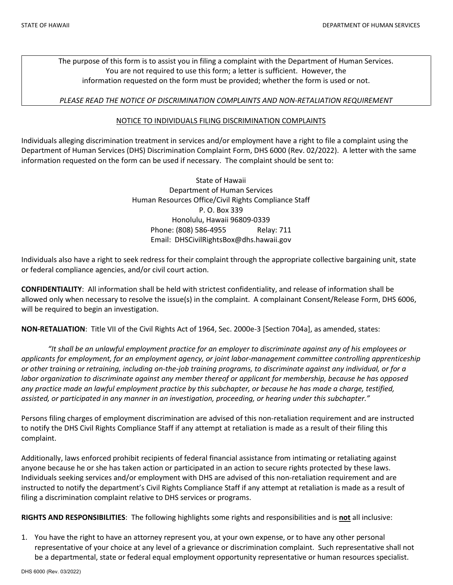The purpose of this form is to assist you in filing a complaint with the Department of Human Services. You are not required to use this form; a letter is sufficient. However, the information requested on the form must be provided; whether the form is used or not.

## *PLEASE READ THE NOTICE OF DISCRIMINATION COMPLAINTS AND NON-RETALIATION REQUIREMENT*

## NOTICE TO INDIVIDUALS FILING DISCRIMINATION COMPLAINTS

Individuals alleging discrimination treatment in services and/or employment have a right to file a complaint using the Department of Human Services (DHS) Discrimination Complaint Form, DHS 6000 (Rev. 02/2022). A letter with the same information requested on the form can be used if necessary. The complaint should be sent to:

> State of Hawaii Department of Human Services Human Resources Office/Civil Rights Compliance Staff P. O. Box 339 Honolulu, Hawaii 96809-0339 Phone: (808) 586-4955 Relay: 711 Email: DHSCivilRightsBox@dhs.hawaii.gov

Individuals also have a right to seek redress for their complaint through the appropriate collective bargaining unit, state or federal compliance agencies, and/or civil court action.

**CONFIDENTIALITY**: All information shall be held with strictest confidentiality, and release of information shall be allowed only when necessary to resolve the issue(s) in the complaint. A complainant Consent/Release Form, DHS 6006, will be required to begin an investigation.

**NON-RETALIATION**: Title VII of the Civil Rights Act of 1964, Sec. 2000e-3 [Section 704a], as amended, states:

*"It shall be an unlawful employment practice for an employer to discriminate against any of his employees or applicants for employment, for an employment agency, or joint labor-management committee controlling apprenticeship or other training or retraining, including on-the-job training programs, to discriminate against any individual, or for a labor organization to discriminate against any member thereof or applicant for membership, because he has opposed any practice made an lawful employment practice by this subchapter, or because he has made a charge, testified, assisted, or participated in any manner in an investigation, proceeding, or hearing under this subchapter."*

Persons filing charges of employment discrimination are advised of this non-retaliation requirement and are instructed to notify the DHS Civil Rights Compliance Staff if any attempt at retaliation is made as a result of their filing this complaint.

Additionally, laws enforced prohibit recipients of federal financial assistance from intimating or retaliating against anyone because he or she has taken action or participated in an action to secure rights protected by these laws. Individuals seeking services and/or employment with DHS are advised of this non-retaliation requirement and are instructed to notify the department's Civil Rights Compliance Staff if any attempt at retaliation is made as a result of filing a discrimination complaint relative to DHS services or programs.

**RIGHTS AND RESPONSIBILITIES**: The following highlights some rights and responsibilities and is **not** all inclusive:

1. You have the right to have an attorney represent you, at your own expense, or to have any other personal representative of your choice at any level of a grievance or discrimination complaint. Such representative shall not be a departmental, state or federal equal employment opportunity representative or human resources specialist.